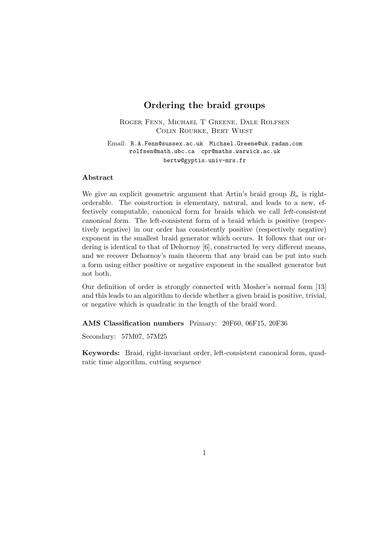# **Ordering the braid groups**

Roger Fenn, Michael T Greene, Dale Rolfsen Colin Rourke, Bert Wiest

Email: R.A.Fenn@sussex.ac.uk Michael.Greene@uk.radan.com rolfsen@math.ubc.ca cpr@maths.warwick.ac.uk bertw@gyptis.univ-mrs.fr

### **Abstract**

We give an explicit geometric argument that Artin's braid group  $B_n$  is rightorderable. The construction is elementary, natural, and leads to a new, effectively computable, canonical form for braids which we call *left-consistent canonical form*. The left-consistent form of a braid which is positive (respectively negative) in our order has consistently positive (respectively negative) exponent in the smallest braid generator which occurs. It follows that our ordering is identical to that of Dehornoy [6], constructed by very different means, and we recover Dehornoy's main theorem that any braid can be put into such a form using either positive or negative exponent in the smallest generator but not both.

Our definition of order is strongly connected with Mosher's normal form [13] and this leads to an algorithm to decide whether a given braid is positive, trivial, or negative which is quadratic in the length of the braid word.

**AMS Classification numbers** Primary: 20F60, 06F15, 20F36

Secondary: 57M07, 57M25

**Keywords:** Braid, right-invariant order, left-consistent canonical form, quadratic time algorithm, cutting sequence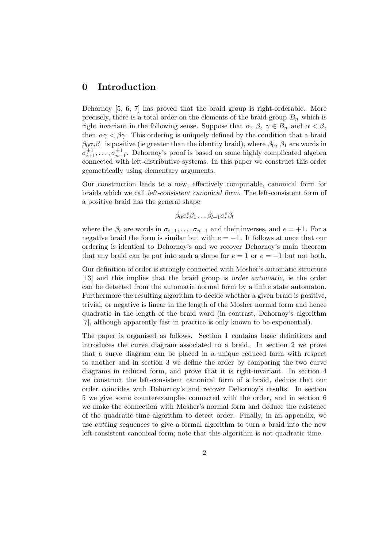## **0 Introduction**

Dehornoy [5, 6, 7] has proved that the braid group is right-orderable. More precisely, there is a total order on the elements of the braid group  $B_n$  which is right invariant in the following sense. Suppose that  $\alpha, \beta, \gamma \in B_n$  and  $\alpha < \beta$ , then  $\alpha \gamma < \beta \gamma$ . This ordering is uniquely defined by the condition that a braid  $\beta_0 \sigma_i \beta_1$  is positive (ie greater than the identity braid), where  $\beta_0$ ,  $\beta_1$  are words in  $\sigma_{i+1}^{\pm 1}, \ldots, \sigma_{n-1}^{\pm 1}$ . Dehornoy's proof is based on some highly complicated algebra connected with left-distributive systems. In this paper we construct this order geometrically using elementary arguments.

Our construction leads to a new, effectively computable, canonical form for braids which we call *left-consistent canonical form*. The left-consistent form of a positive braid has the general shape

$$
\beta_0 \sigma_i^e \beta_1 \dots \beta_{l-1} \sigma_i^e \beta_l
$$

where the  $\beta_i$  are words in  $\sigma_{i+1}, \ldots, \sigma_{n-1}$  and their inverses, and  $e = +1$ . For a negative braid the form is similar but with  $e = -1$ . It follows at once that our ordering is identical to Dehornoy's and we recover Dehornoy's main theorem that any braid can be put into such a shape for  $e = 1$  or  $e = -1$  but not both.

Our definition of order is strongly connected with Mosher's automatic structure [13] and this implies that the braid group is *order automatic*, ie the order can be detected from the automatic normal form by a finite state automaton. Furthermore the resulting algorithm to decide whether a given braid is positive, trivial, or negative is linear in the length of the Mosher normal form and hence quadratic in the length of the braid word (in contrast, Dehornoy's algorithm [7], although apparently fast in practice is only known to be exponential).

The paper is organised as follows. Section 1 contains basic definitions and introduces the curve diagram associated to a braid. In section 2 we prove that a curve diagram can be placed in a unique reduced form with respect to another and in section 3 we define the order by comparing the two curve diagrams in reduced form, and prove that it is right-invariant. In section 4 we construct the left-consistent canonical form of a braid, deduce that our order coincides with Dehornoy's and recover Dehornoy's results. In section 5 we give some counterexamples connected with the order, and in section 6 we make the connection with Mosher's normal form and deduce the existence of the quadratic time algorithm to detect order. Finally, in an appendix, we use *cutting sequences* to give a formal algorithm to turn a braid into the new left-consistent canonical form; note that this algorithm is not quadratic time.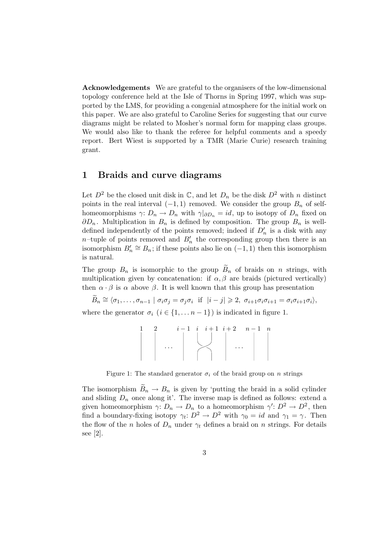**Acknowledgements** We are grateful to the organisers of the low-dimensional topology conference held at the Isle of Thorns in Spring 1997, which was supported by the LMS, for providing a congenial atmosphere for the initial work on this paper. We are also grateful to Caroline Series for suggesting that our curve diagrams might be related to Mosher's normal form for mapping class groups. We would also like to thank the referee for helpful comments and a speedy report. Bert Wiest is supported by a TMR (Marie Curie) research training grant.

## **1 Braids and curve diagrams**

Let  $D^2$  be the closed unit disk in  $\mathbb{C}$ , and let  $D_n$  be the disk  $D^2$  with n distinct points in the real interval  $(-1, 1)$  removed. We consider the group  $B_n$  of selfhomeomorphisms  $\gamma: D_n \to D_n$  with  $\gamma|_{\partial D_n} = id$ , up to isotopy of  $D_n$  fixed on  $\partial D_n$ . Multiplication in  $B_n$  is defined by composition. The group  $B_n$  is welldefined independently of the points removed; indeed if  $D'_n$  is a disk with any  $n$ -tuple of points removed and  $B'_n$  the corresponding group then there is an isomorphism  $B'_n \cong B_n$ ; if these points also lie on  $(-1, 1)$  then this isomorphism is natural.

The group  $B_n$  is isomorphic to the group  $\widetilde{B}_n$  of braids on n strings, with multiplication given by concatenation: if  $\alpha, \beta$  are braids (pictured vertically) then  $\alpha \cdot \beta$  is  $\alpha$  above  $\beta$ . It is well known that this group has presentation

 $\widetilde{B}_n \cong \langle \sigma_1,\ldots,\sigma_{n-1} \mid \sigma_i \sigma_j = \sigma_j \sigma_i \text{ if } |i-j| \geqslant 2, \sigma_{i+1} \sigma_i \sigma_{i+1} = \sigma_i \sigma_{i+1} \sigma_i \rangle,$ where the generator  $\sigma_i$  ( $i \in \{1, \ldots n-1\}$ ) is indicated in figure 1.

$$
\left|\begin{array}{c|c}1 & 2 & i-1 & i & i+1 & i+2 & n-1 & n \\ \hline & & & & & \\ & & \cdots & & & & \\ & & & & & & \\ \end{array}\right| \quad \dots \quad \left|\begin{array}{c|c}1 & 2 & i-1 & i+1 & i+2 & n-1 \\ \hline & & & & \\ & & \ddots & & \\ & & & & \\ \end{array}\right| \quad \dots \quad \left|\begin{array}{c|c}1 & 2 & i-1 & i+1 & i+2 & n-1 \\ \hline & & & & \\ & & \ddots & & \\ & & & & \\ \end{array}\right| \quad \, .
$$

Figure 1: The standard generator  $\sigma_i$  of the braid group on n strings

The isomorphism  $B_n \to B_n$  is given by 'putting the braid in a solid cylinder and sliding  $D_n$  once along it'. The inverse map is defined as follows: extend a given homeomorphism  $\gamma: D_n \to D_n$  to a homeomorphism  $\gamma: D^2 \to D^2$ , then find a boundary-fixing isotopy  $\gamma_t: D^2 \to D^2$  with  $\gamma_0 = id$  and  $\gamma_1 = \gamma$ . Then the flow of the n holes of  $D_n$  under  $\gamma_t$  defines a braid on n strings. For details see [2].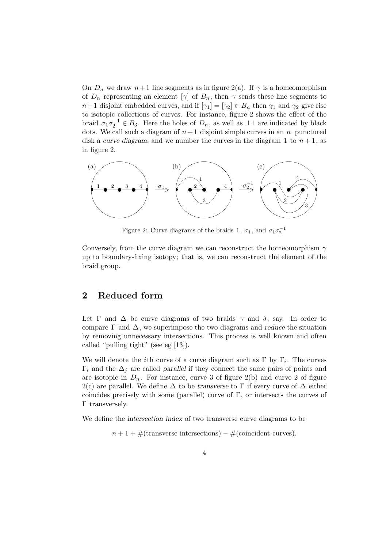On  $D_n$  we draw  $n+1$  line segments as in figure 2(a). If  $\gamma$  is a homeomorphism of  $D_n$  representing an element  $[\gamma]$  of  $B_n$ , then  $\gamma$  sends these line segments to  $n+1$  disjoint embedded curves, and if  $[\gamma_1]=[\gamma_2] \in B_n$  then  $\gamma_1$  and  $\gamma_2$  give rise to isotopic collections of curves. For instance, figure 2 shows the effect of the braid  $\sigma_1 \sigma_2^{-1} \in B_3$ . Here the holes of  $D_n$ , as well as  $\pm 1$  are indicated by black dots. We call such a diagram of  $n+1$  disjoint simple curves in an n–punctured disk a *curve diagram*, and we number the curves in the diagram 1 to  $n + 1$ , as in figure 2.



Figure 2: Curve diagrams of the braids 1,  $\sigma_1$ , and  $\sigma_1 \sigma_2^{-1}$ 

Conversely, from the curve diagram we can reconstruct the homeomorphism  $\gamma$ up to boundary-fixing isotopy; that is, we can reconstruct the element of the braid group.

# **2 Reduced form**

Let  $\Gamma$  and  $\Delta$  be curve diagrams of two braids  $\gamma$  and  $\delta$ , say. In order to compare  $\Gamma$  and  $\Delta$ , we superimpose the two diagrams and *reduce* the situation by removing unnecessary intersections. This process is well known and often called "pulling tight" (see eg [13]).

We will denote the *i*th curve of a curve diagram such as  $\Gamma$  by  $\Gamma_i$ . The curves  $\Gamma_i$  and the  $\Delta_j$  are called *parallel* if they connect the same pairs of points and are isotopic in  $D_n$ . For instance, curve 3 of figure 2(b) and curve 2 of figure 2(c) are parallel. We define  $\Delta$  to be *transverse* to  $\Gamma$  if every curve of  $\Delta$  either coincides precisely with some (parallel) curve of  $\Gamma$ , or intersects the curves of Γ transversely.

We define the *intersection index* of two transverse curve diagrams to be

 $n + 1 + #$ (transverse intersections) – #(coincident curves).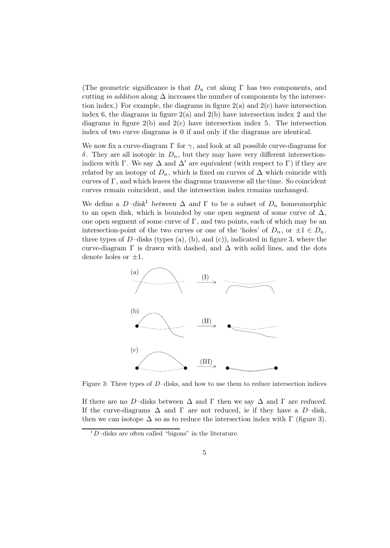(The geometric significance is that  $D_n$  cut along  $\Gamma$  has two components, and cutting in addition along  $\Delta$  increases the number of components by the intersection index.) For example, the diagrams in figure  $2(a)$  and  $2(c)$  have intersection index 6, the diagrams in figure  $2(a)$  and  $2(b)$  have intersection index 2 and the diagrams in figure  $2(b)$  and  $2(c)$  have intersection index 5. The intersection index of two curve diagrams is 0 if and only if the diagrams are identical.

We now fix a curve-diagram  $\Gamma$  for  $\gamma$ , and look at all possible curve-diagrams for δ. They are all isotopic in  $D_n$ , but they may have very different intersectionindices with Γ. We say  $\Delta$  and  $\Delta'$  are *equivalent* (with respect to Γ) if they are related by an isotopy of  $D_n$ , which is fixed on curves of  $\Delta$  which coincide with curves of Γ, and which leaves the diagrams transverse all the time. So coincident curves remain coincident, and the intersection index remains unchanged.

We define a  $D-disk^1$  between  $\Delta$  and  $\Gamma$  to be a subset of  $D_n$  homeomorphic to an open disk, which is bounded by one open segment of some curve of  $\Delta$ , one open segment of some curve of  $\Gamma$ , and two points, each of which may be an intersection-point of the two curves or one of the 'holes' of  $D_n$ , or  $\pm 1 \in D_n$ . three types of  $D$ –disks (types (a), (b), and (c)), indicated in figure 3, where the curve-diagram  $\Gamma$  is drawn with dashed, and  $\Delta$  with solid lines, and the dots denote holes or  $\pm 1$ .



Figure 3: Three types of D–disks, and how to use them to reduce intersection indices

If there are no D–disks between ∆ and Γ then we say ∆ and Γ are *reduced*. If the curve-diagrams  $\Delta$  and  $\Gamma$  are not reduced, ie if they have a D-disk, then we can isotope  $\Delta$  so as to reduce the intersection index with  $\Gamma$  (figure 3).

 $1D$ –disks are often called "bigons" in the literature.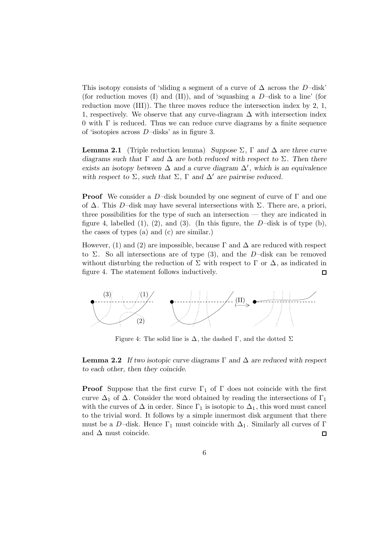This isotopy consists of 'sliding a segment of a curve of  $\Delta$  across the D–disk' (for reduction moves (I) and (II)), and of 'squashing a  $D$ -disk to a line' (for reduction move (III)). The three moves reduce the intersection index by 2, 1, 1, respectively. We observe that any curve-diagram  $\Delta$  with intersection index  $0$  with  $\Gamma$  is reduced. Thus we can reduce curve diagrams by a finite sequence of 'isotopies across D–disks' as in figure 3.

**Lemma 2.1** (Triple reduction lemma) *Suppose* Σ*,* Γ *and* ∆ *are three curve diagrams such that* Γ *and* ∆ *are both reduced with respect to* Σ*. Then there* exists an isotopy between  $\Delta$  and a curve diagram  $\Delta'$ , which is an equivalence with respect to  $\Sigma$ , such that  $\Sigma$ ,  $\Gamma$  and  $\Delta'$  are pairwise reduced.

**Proof** We consider a D–disk bounded by one segment of curve of  $\Gamma$  and one of  $\Delta$ . This D–disk may have several intersections with  $\Sigma$ . There are, a priori, three possibilities for the type of such an intersection — they are indicated in figure 4, labelled  $(1)$ ,  $(2)$ , and  $(3)$ . (In this figure, the D-disk is of type  $(b)$ , the cases of types (a) and (c) are similar.)

However, (1) and (2) are impossible, because  $\Gamma$  and  $\Delta$  are reduced with respect to  $\Sigma$ . So all intersections are of type (3), and the D-disk can be removed without disturbing the reduction of  $\Sigma$  with respect to  $\Gamma$  or  $\Delta$ , as indicated in figure 4. The statement follows inductively.  $\Box$ 



Figure 4: The solid line is  $\Delta$ , the dashed  $\Gamma$ , and the dotted  $\Sigma$ 

**Lemma 2.2** *If two isotopic curve diagrams* Γ *and* ∆ *are reduced with respect to each other, then they coincide.*

**Proof** Suppose that the first curve  $\Gamma_1$  of  $\Gamma$  does not coincide with the first curve  $\Delta_1$  of  $\Delta$ . Consider the word obtained by reading the intersections of  $\Gamma_1$ with the curves of  $\Delta$  in order. Since  $\Gamma_1$  is isotopic to  $\Delta_1$ , this word must cancel to the trivial word. It follows by a simple innermost disk argument that there must be a D–disk. Hence  $\Gamma_1$  must coincide with  $\Delta_1$ . Similarly all curves of  $\Gamma$ and  $\Delta$  must coincide. □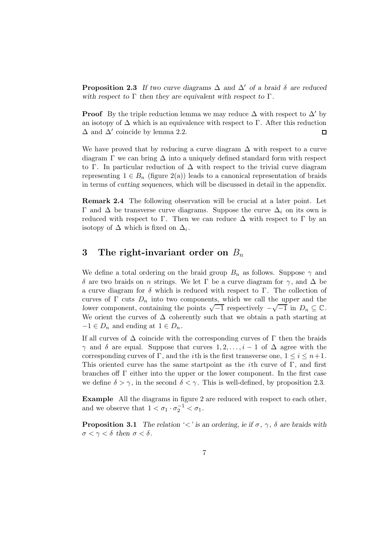**Proposition 2.3** If two curve diagrams  $\Delta$  and  $\Delta'$  of a braid  $\delta$  are reduced *with respect to* Γ *then they are equivalent with respect to* Γ*.*

**Proof** By the triple reduction lemma we may reduce  $\Delta$  with respect to  $\Delta'$  by an isotopy of  $\Delta$  which is an equivalence with respect to  $\Gamma$ . After this reduction  $\Delta$  and  $\Delta'$  coincide by lemma 2.2.  $\Box$ 

We have proved that by reducing a curve diagram  $\Delta$  with respect to a curve diagram  $\Gamma$  we can bring  $\Delta$  into a uniquely defined standard form with respect to Γ. In particular reduction of ∆ with respect to the trivial curve diagram representing  $1 \in B_n$  (figure 2(a)) leads to a canonical representation of braids in terms of *cutting sequences*, which will be discussed in detail in the appendix.

**Remark 2.4** The following observation will be crucial at a later point. Let Γ and  $\Delta$  be transverse curve diagrams. Suppose the curve  $\Delta_i$  on its own is reduced with respect to  $\Gamma$ . Then we can reduce  $\Delta$  with respect to  $\Gamma$  by an isotopy of  $\Delta$  which is fixed on  $\Delta_i$ .

## **3** The right-invariant order on  $B_n$

We define a total ordering on the braid group  $B_n$  as follows. Suppose  $\gamma$  and δ are two braids on *n* strings. We let Γ be a curve diagram for  $\gamma$ , and  $\Delta$  be a curve diagram for  $\delta$  which is reduced with respect to Γ. The collection of curves of  $\Gamma$  cuts  $D_n$  into two components, which we call the *upper* and the *lower* component, containing the points  $\sqrt{-1}$  respectively  $-\sqrt{-1}$  in  $D_n \subseteq \mathbb{C}$ . We orient the curves of  $\Delta$  coherently such that we obtain a path starting at  $-1 \in D_n$  and ending at  $1 \in D_n$ .

If all curves of  $\Delta$  coincide with the corresponding curves of  $\Gamma$  then the braids  $\gamma$  and  $\delta$  are equal. Suppose that curves  $1, 2, \ldots, i-1$  of  $\Delta$  agree with the corresponding curves of Γ, and the *i*th is the first transverse one,  $1 \leq i \leq n+1$ . This oriented curve has the same startpoint as the *i*th curve of  $\Gamma$ , and first branches off Γ either into the upper or the lower component. In the first case we define  $\delta > \gamma$ , in the second  $\delta < \gamma$ . This is well-defined, by proposition 2.3.

**Example** All the diagrams in figure 2 are reduced with respect to each other, and we observe that  $1 < \sigma_1 \cdot \sigma_2^{-1} < \sigma_1$ .

**Proposition 3.1** *The relation '<' is an ordering, ie if*  $\sigma$ *,*  $\gamma$ *,*  $\delta$  *are braids with*  $\sigma < \gamma < \delta$  then  $\sigma < \delta$ .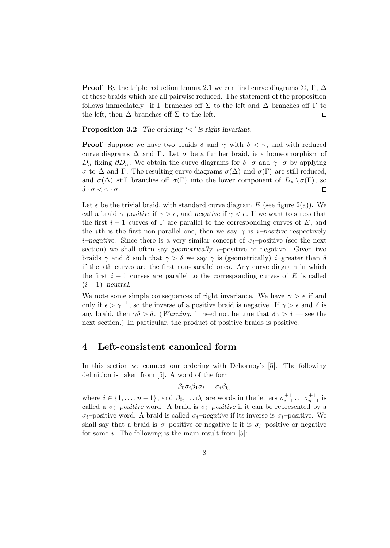**Proof** By the triple reduction lemma 2.1 we can find curve diagrams  $\Sigma$ , Γ, Δ of these braids which are all pairwise reduced. The statement of the proposition follows immediately: if  $\Gamma$  branches off  $\Sigma$  to the left and  $\Delta$  branches off  $\Gamma$  to the left, then  $\Delta$  branches off  $\Sigma$  to the left.  $\Box$ 

**Proposition 3.2** *The ordering '*<*' is right invariant.*

**Proof** Suppose we have two braids  $\delta$  and  $\gamma$  with  $\delta < \gamma$ , and with reduced curve diagrams  $\Delta$  and  $\Gamma$ . Let  $\sigma$  be a further braid, ie a homeomorphism of  $D_n$  fixing  $\partial D_n$ . We obtain the curve diagrams for  $\delta \cdot \sigma$  and  $\gamma \cdot \sigma$  by applying  $\sigma$  to  $\Delta$  and Γ. The resulting curve diagrams  $\sigma(\Delta)$  and  $\sigma(\Gamma)$  are still reduced, and  $\sigma(\Delta)$  still branches off  $\sigma(\Gamma)$  into the lower component of  $D_n \setminus \sigma(\Gamma)$ , so  $\delta \cdot \sigma < \gamma \cdot \sigma$ .  $\Box$ 

Let  $\epsilon$  be the trivial braid, with standard curve diagram E (see figure 2(a)). We call a braid  $\gamma$  *positive* if  $\gamma > \epsilon$ , and *negative* if  $\gamma < \epsilon$ . If we want to stress that the first  $i-1$  curves of  $\Gamma$  are parallel to the corresponding curves of E, and the *i*th is the first non-parallel one, then we say  $\gamma$  is *i–positive* respectively  $i$ –negative. Since there is a very similar concept of  $\sigma_i$ –positive (see the next section) we shall often say *geometrically* i–positive or negative. Given two braids  $\gamma$  and  $\delta$  such that  $\gamma > \delta$  we say  $\gamma$  is (geometrically) *i*–greater than  $\delta$ if the ith curves are the first non-parallel ones. Any curve diagram in which the first  $i - 1$  curves are parallel to the corresponding curves of E is called  $(i-1)$ –*neutral*.

We note some simple consequences of right invariance. We have  $\gamma > \epsilon$  if and only if  $\epsilon > \gamma^{-1}$ , so the inverse of a positive braid is negative. If  $\gamma > \epsilon$  and  $\delta$  is any braid, then  $\gamma \delta > \delta$ . (*Warning:* it need not be true that  $\delta \gamma > \delta$  — see the next section.) In particular, the product of positive braids is positive.

## **4 Left-consistent canonical form**

In this section we connect our ordering with Dehornoy's [5]. The following definition is taken from [5]. A word of the form

$$
\beta_0 \sigma_i \beta_1 \sigma_i \ldots \sigma_i \beta_k,
$$

where  $i \in \{1, \ldots, n-1\}$ , and  $\beta_0, \ldots, \beta_k$  are words in the letters  $\sigma_{i+1}^{\pm 1} \ldots \sigma_{n-1}^{\pm 1}$  is called a  $\sigma_i$ *-positive* word. A braid is  $\sigma_i$ *-positive* if it can be represented by a  $\sigma_i$ –positive word. A braid is called  $\sigma_i$ –negative if its inverse is  $\sigma_i$ –positive. We shall say that a braid is  $\sigma$ -positive or negative if it is  $\sigma_i$ -positive or negative for some  $i$ . The following is the main result from [5]: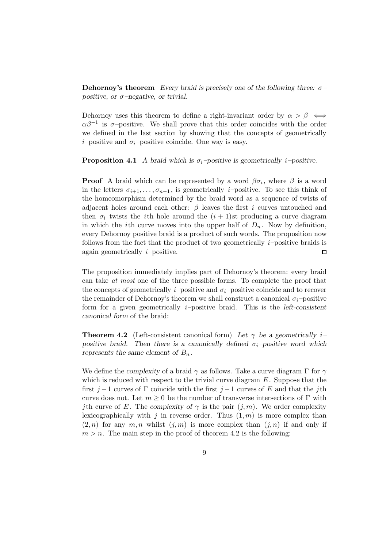**Dehornoy's theorem** *Every braid is precisely one of the following three:* σ*– positive, or* σ*–negative, or trivial.*

Dehornoy uses this theorem to define a right-invariant order by  $\alpha > \beta \iff$  $\alpha\beta^{-1}$  is  $\sigma$ -positive. We shall prove that this order coincides with the order we defined in the last section by showing that the concepts of geometrically *i*–positive and  $\sigma_i$ –positive coincide. One way is easy.

**Proposition 4.1** *A braid which is*  $\sigma_i$ *–positive is geometrically i–positive.* 

**Proof** A braid which can be represented by a word  $\beta \sigma_i$ , where  $\beta$  is a word in the letters  $\sigma_{i+1},\ldots,\sigma_{n-1}$ , is geometrically *i*-positive. To see this think of the homeomorphism determined by the braid word as a sequence of twists of adjacent holes around each other:  $\beta$  leaves the first i curves untouched and then  $\sigma_i$  twists the *i*th hole around the  $(i + 1)$ st producing a curve diagram in which the *i*th curve moves into the upper half of  $D_n$ . Now by definition, every Dehornoy positive braid is a product of such words. The proposition now follows from the fact that the product of two geometrically  $i$ -positive braids is again geometrically  $i$ -positive.  $\Box$ 

The proposition immediately implies part of Dehornoy's theorem: every braid can take at most one of the three possible forms. To complete the proof that the concepts of geometrically *i*–positive and  $\sigma_i$ –positive coincide and to recover the remainder of Dehornoy's theorem we shall construct a canonical  $\sigma_i$ –positive form for a given geometrically i–positive braid. This is the *left-consistent canonical form* of the braid:

**Theorem 4.2** (Left-consistent canonical form) *Let* γ *be a geometrically* i*– positive braid.* Then there is a canonically defined  $\sigma_i$ -positive word which *represents the same element of*  $B_n$ .

We define the *complexity* of a braid  $\gamma$  as follows. Take a curve diagram  $\Gamma$  for  $\gamma$ which is reduced with respect to the trivial curve diagram  $E$ . Suppose that the first j −1 curves of  $\Gamma$  coincide with the first j −1 curves of E and that the j<sup>th</sup> curve does not. Let  $m \geq 0$  be the number of transverse intersections of  $\Gamma$  with *j*th curve of E. The *complexity of*  $\gamma$  is the pair  $(j, m)$ . We order complexity lexicographically with j in reverse order. Thus  $(1, m)$  is more complex than  $(2, n)$  for any  $m, n$  whilst  $(j, m)$  is more complex than  $(j, n)$  if and only if  $m>n$ . The main step in the proof of theorem 4.2 is the following: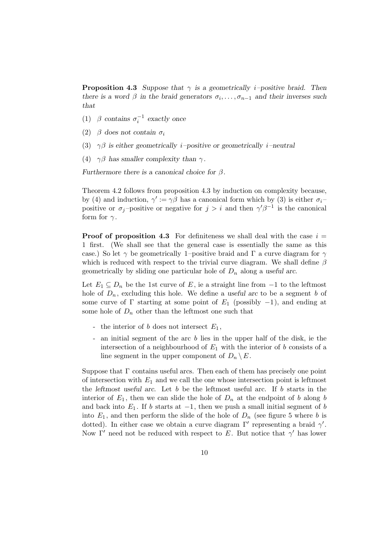**Proposition 4.3** *Suppose that*  $\gamma$  *is a geometrically i–positive braid. Then there is a word*  $\beta$  *in the braid generators*  $\sigma_i, \ldots, \sigma_{n-1}$  *and their inverses such that*

- (1)  $\beta$  *contains*  $\sigma_i^{-1}$  *exactly once*
- (2)  $\beta$  does not contain  $\sigma_i$
- (3) γβ *is either geometrically* i*–positive or geometrically* i*–neutral*
- (4)  $\gamma\beta$  has smaller complexity than  $\gamma$ .

*Furthermore there is a canonical choice for* β*.*

Theorem 4.2 follows from proposition 4.3 by induction on complexity because, by (4) and induction,  $\gamma' := \gamma \beta$  has a canonical form which by (3) is either  $\sigma_i$ positive or  $\sigma_j$ -positive or negative for  $j>i$  and then  $\gamma'\beta^{-1}$  is the canonical form for  $\gamma$ .

**Proof of proposition 4.3** For definiteness we shall deal with the case  $i =$ 1 first. (We shall see that the general case is essentially the same as this case.) So let  $\gamma$  be geometrically 1–positive braid and  $\Gamma$  a curve diagram for  $\gamma$ which is reduced with respect to the trivial curve diagram. We shall define  $\beta$ geometrically by sliding one particular hole of  $D_n$  along a *useful arc*.

Let  $E_1 \subseteq D_n$  be the 1st curve of E, ie a straight line from  $-1$  to the leftmost hole of  $D_n$ , excluding this hole. We define a useful arc to be a segment b of some curve of  $\Gamma$  starting at some point of  $E_1$  (possibly  $-1$ ), and ending at some hole of  $D_n$  other than the leftmost one such that

- the interior of b does not intersect  $E_1$ ,
- an initial segment of the arc b lies in the upper half of the disk, ie the intersection of a neighbourhood of  $E_1$  with the interior of b consists of a line segment in the upper component of  $D_n \setminus E$ .

Suppose that  $\Gamma$  contains useful arcs. Then each of them has precisely one point of intersection with  $E_1$  and we call the one whose intersection point is leftmost the *leftmost useful arc*. Let b be the leftmost useful arc. If b starts in the interior of  $E_1$ , then we can slide the hole of  $D_n$  at the endpoint of b along b and back into  $E_1$ . If b starts at  $-1$ , then we push a small initial segment of b into  $E_1$ , and then perform the slide of the hole of  $D_n$  (see figure 5 where b is dotted). In either case we obtain a curve diagram  $\Gamma'$  representing a braid  $\gamma'$ . Now Γ' need not be reduced with respect to E. But notice that  $γ'$  has lower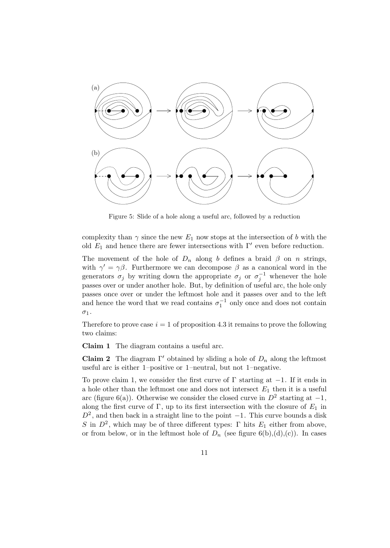

Figure 5: Slide of a hole along a useful arc, followed by a reduction

complexity than  $\gamma$  since the new  $E_1$  now stops at the intersection of b with the old  $E_1$  and hence there are fewer intersections with  $\Gamma'$  even before reduction.

The movement of the hole of  $D_n$  along b defines a braid  $\beta$  on n strings, with  $\gamma' = \gamma \beta$ . Furthermore we can decompose  $\beta$  as a canonical word in the generators  $\sigma_j$  by writing down the appropriate  $\sigma_j$  or  $\sigma_j^{-1}$  whenever the hole passes over or under another hole. But, by definition of useful arc, the hole only passes once over or under the leftmost hole and it passes over and to the left and hence the word that we read contains  $\sigma_1^{-1}$  only once and does not contain  $\sigma_1$ .

Therefore to prove case  $i = 1$  of proposition 4.3 it remains to prove the following two claims:

**Claim 1** The diagram contains a useful arc.

**Claim 2** The diagram  $\Gamma'$  obtained by sliding a hole of  $D_n$  along the leftmost useful arc is either 1–positive or 1–neutral, but not 1–negative.

To prove claim 1, we consider the first curve of  $\Gamma$  starting at  $-1$ . If it ends in a hole other than the leftmost one and does not intersect  $E_1$  then it is a useful arc (figure 6(a)). Otherwise we consider the closed curve in  $D^2$  starting at  $-1$ , along the first curve of  $\Gamma$ , up to its first intersection with the closure of  $E_1$  in  $D^2$ , and then back in a straight line to the point  $-1$ . This curve bounds a disk S in  $D^2$ , which may be of three different types: Γ hits  $E_1$  either from above, or from below, or in the leftmost hole of  $D_n$  (see figure 6(b),(d),(c)). In cases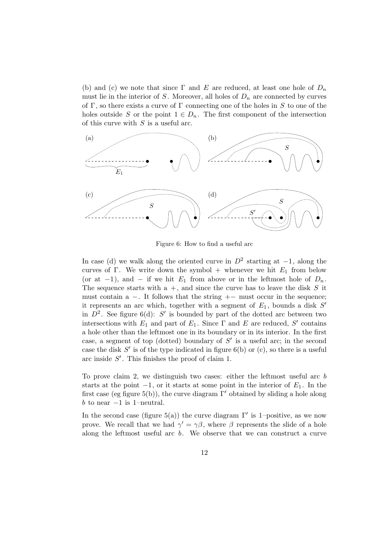(b) and (c) we note that since  $\Gamma$  and E are reduced, at least one hole of  $D_n$ must lie in the interior of S. Moreover, all holes of  $D_n$  are connected by curves of Γ, so there exists a curve of Γ connecting one of the holes in S to one of the holes outside S or the point  $1 \in D_n$ . The first component of the intersection of this curve with  $S$  is a useful arc.



Figure 6: How to find a useful arc

In case (d) we walk along the oriented curve in  $D^2$  starting at  $-1$ , along the curves of Γ. We write down the symbol + whenever we hit  $E_1$  from below (or at  $-1$ ), and  $-$  if we hit  $E_1$  from above or in the leftmost hole of  $D_n$ . The sequence starts with  $a +$ , and since the curve has to leave the disk S it must contain a  $-$ . It follows that the string  $+-$  must occur in the sequence; it represents an arc which, together with a segment of  $E_1$ , bounds a disk  $S'$ in  $D^2$ . See figure 6(d): S' is bounded by part of the dotted arc between two intersections with  $E_1$  and part of  $E_1$ . Since  $\Gamma$  and  $E$  are reduced,  $S'$  contains a hole other than the leftmost one in its boundary or in its interior. In the first case, a segment of top (dotted) boundary of  $S'$  is a useful arc; in the second case the disk  $S'$  is of the type indicated in figure 6(b) or (c), so there is a useful arc inside  $S'$ . This finishes the proof of claim 1.

To prove claim 2, we distinguish two cases: either the leftmost useful arc b starts at the point  $-1$ , or it starts at some point in the interior of  $E_1$ . In the first case (eg figure 5(b)), the curve diagram  $\Gamma'$  obtained by sliding a hole along b to near  $-1$  is 1–neutral.

In the second case (figure 5(a)) the curve diagram  $\Gamma'$  is 1–positive, as we now prove. We recall that we had  $\gamma' = \gamma \beta$ , where  $\beta$  represents the slide of a hole along the leftmost useful arc b. We observe that we can construct a curve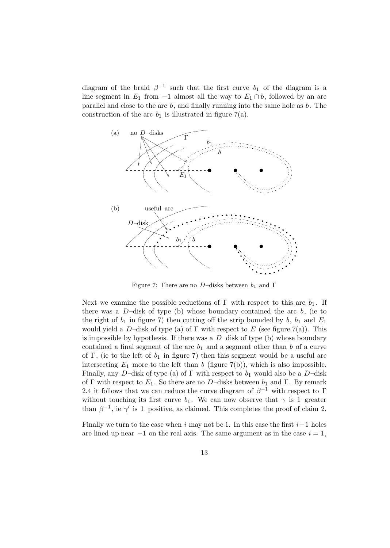diagram of the braid  $\beta^{-1}$  such that the first curve  $b_1$  of the diagram is a line segment in  $E_1$  from  $-1$  almost all the way to  $E_1 \cap b$ , followed by an arc parallel and close to the arc  $b$ , and finally running into the same hole as  $b$ . The construction of the arc  $b_1$  is illustrated in figure 7(a).



Figure 7: There are no D–disks between  $b_1$  and  $\Gamma$ 

Next we examine the possible reductions of  $\Gamma$  with respect to this arc  $b_1$ . If there was a  $D$ -disk of type (b) whose boundary contained the arc  $b$ , (ie to the right of  $b_1$  in figure 7) then cutting off the strip bounded by b,  $b_1$  and  $E_1$ would yield a D–disk of type (a) of  $\Gamma$  with respect to E (see figure 7(a)). This is impossible by hypothesis. If there was a  $D$ -disk of type (b) whose boundary contained a final segment of the arc  $b_1$  and a segment other than b of a curve of Γ, (ie to the left of  $b_1$  in figure 7) then this segment would be a useful arc intersecting  $E_1$  more to the left than b (figure 7(b)), which is also impossible. Finally, any D–disk of type (a) of  $\Gamma$  with respect to  $b_1$  would also be a D–disk of Γ with respect to  $E_1$ . So there are no D-disks between  $b_1$  and Γ. By remark 2.4 it follows that we can reduce the curve diagram of  $\beta^{-1}$  with respect to  $\Gamma$ without touching its first curve  $b_1$ . We can now observe that  $\gamma$  is 1–greater than  $\beta^{-1}$ , ie  $\gamma'$  is 1–positive, as claimed. This completes the proof of claim 2.

Finally we turn to the case when i may not be 1. In this case the first  $i-1$  holes are lined up near  $-1$  on the real axis. The same argument as in the case  $i = 1$ ,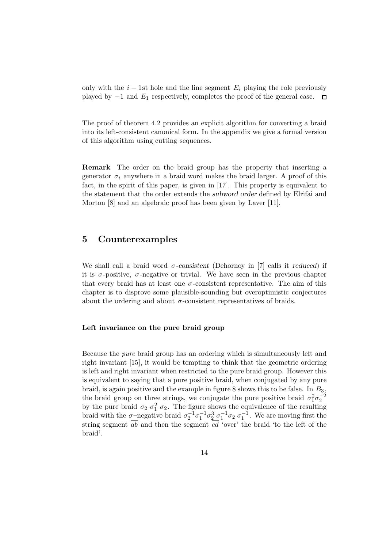only with the  $i - 1$ st hole and the line segment  $E_i$  playing the role previously played by  $-1$  and  $E_1$  respectively, completes the proof of the general case.  $\Box$ 

The proof of theorem 4.2 provides an explicit algorithm for converting a braid into its left-consistent canonical form. In the appendix we give a formal version of this algorithm using cutting sequences.

**Remark** The order on the braid group has the property that inserting a generator  $\sigma_i$  anywhere in a braid word makes the braid larger. A proof of this fact, in the spirit of this paper, is given in [17]. This property is equivalent to the statement that the order extends the *subword order* defined by Elrifai and Morton [8] and an algebraic proof has been given by Laver [11].

### **5 Counterexamples**

We shall call a braid word σ*-consistent* (Dehornoy in [7] calls it *reduced*) if it is  $\sigma$ -positive,  $\sigma$ -negative or trivial. We have seen in the previous chapter that every braid has at least one  $\sigma$ -consistent representative. The aim of this chapter is to disprove some plausible-sounding but overoptimistic conjectures about the ordering and about  $\sigma$ -consistent representatives of braids.

### **Left invariance on the pure braid group**

Because the pure braid group has an ordering which is simultaneously left and right invariant [15], it would be tempting to think that the geometric ordering is left and right invariant when restricted to the pure braid group. However this is equivalent to saying that a pure positive braid, when conjugated by any pure braid, is again positive and the example in figure 8 shows this to be false. In  $B_3$ , the braid group on three strings, we conjugate the pure positive braid  $\sigma_1^2 \sigma_2^{-2}$ by the pure braid  $\sigma_2$   $\sigma_1^2$   $\sigma_2$ . The figure shows the equivalence of the resulting braid with the  $\sigma$ -negative braid  $\sigma_2^{-1}\sigma_1^{-1}\sigma_2^3$   $\sigma_1^{-1}\sigma_2$   $\sigma_1^{-1}$ . We are moving first the string segment  $\overline{ab}$  and then the segment  $\overline{cd}$  'over' the braid 'to the left of the braid'.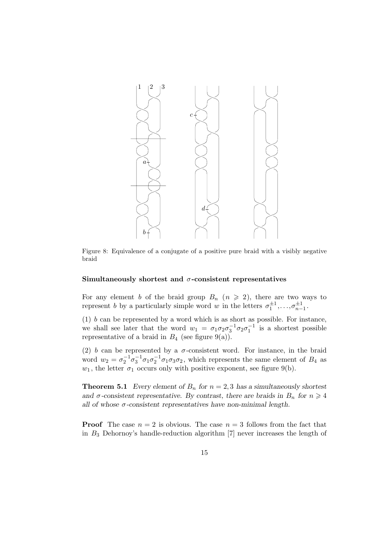

Figure 8: Equivalence of a conjugate of a positive pure braid with a visibly negative braid

### **Simultaneously shortest and** σ**-consistent representatives**

For any element b of the braid group  $B_n$   $(n \geq 2)$ , there are two ways to represent b by a particularly simple word w in the letters  $\sigma_1^{\pm 1}, \ldots, \sigma_{n-1}^{\pm 1}$ .

(1)  $b$  can be represented by a word which is as short as possible. For instance, we shall see later that the word  $w_1 = \sigma_1 \sigma_2 \sigma_3^{-1} \sigma_2 \sigma_1^{-1}$  is a shortest possible representative of a braid in  $B_4$  (see figure 9(a)).

(2) b can be represented by a  $\sigma$ -consistent word. For instance, in the braid word  $w_2 = \sigma_2^{-1} \sigma_3^{-1} \sigma_1 \sigma_2^{-1} \sigma_1 \sigma_3 \sigma_2$ , which represents the same element of  $B_4$  as  $w_1$ , the letter  $\sigma_1$  occurs only with positive exponent, see figure 9(b).

**Theorem 5.1** *Every element of*  $B_n$  *for*  $n = 2, 3$  *has a simultaneously shortest and*  $\sigma$ -consistent representative. By contrast, there are braids in  $B_n$  for  $n \geq 4$ *all of whose* σ*-consistent representatives have non-minimal length.*

**Proof** The case  $n = 2$  is obvious. The case  $n = 3$  follows from the fact that in  $B_3$  Dehornoy's handle-reduction algorithm  $[7]$  never increases the length of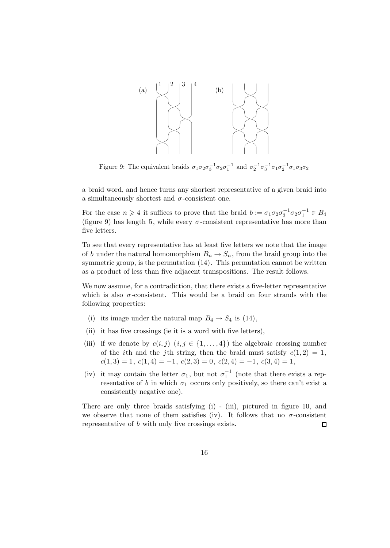

Figure 9: The equivalent braids  $\sigma_1 \sigma_2 \sigma_3^{-1} \sigma_2 \sigma_1^{-1}$  and  $\sigma_2^{-1} \sigma_3^{-1} \sigma_1 \sigma_2^{-1} \sigma_1 \sigma_3 \sigma_2$ 

a braid word, and hence turns any shortest representative of a given braid into a simultaneously shortest and  $\sigma$ -consistent one.

For the case  $n \geq 4$  it suffices to prove that the braid  $b := \sigma_1 \sigma_2 \sigma_3^{-1} \sigma_2 \sigma_1^{-1} \in B_4$ (figure 9) has length 5, while every  $\sigma$ -consistent representative has more than five letters.

To see that every representative has at least five letters we note that the image of b under the natural homomorphism  $B_n \to S_n$ , from the braid group into the symmetric group, is the permutation (14). This permutation cannot be written as a product of less than five adjacent transpositions. The result follows.

We now assume, for a contradiction, that there exists a five-letter representative which is also  $\sigma$ -consistent. This would be a braid on four strands with the following properties:

- (i) its image under the natural map  $B_4 \rightarrow S_4$  is (14),
- (ii) it has five crossings (ie it is a word with five letters),
- (iii) if we denote by  $c(i, j)$   $(i, j \in \{1, ..., 4\})$  the algebraic crossing number of the *i*th and the *j*th string, then the braid must satisfy  $c(1, 2) = 1$ ,  $c(1,3) = 1, c(1,4) = -1, c(2,3) = 0, c(2,4) = -1, c(3,4) = 1,$
- (iv) it may contain the letter  $\sigma_1$ , but not  $\sigma_1^{-1}$  (note that there exists a representative of b in which  $\sigma_1$  occurs only positively, so there can't exist a consistently negative one).

There are only three braids satisfying (i) - (iii), pictured in figure 10, and we observe that none of them satisfies (iv). It follows that no  $\sigma$ -consistent representative of b with only five crossings exists.  $\Box$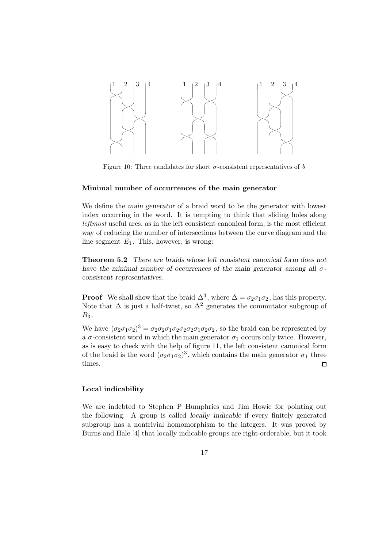

Figure 10: Three candidates for short  $\sigma$ -consistent representatives of b

### **Minimal number of occurrences of the main generator**

We define the *main generator* of a braid word to be the generator with lowest index occurring in the word. It is tempting to think that sliding holes along leftmost useful arcs, as in the left consistent canonical form, is the most efficient way of reducing the number of intersections between the curve diagram and the line segment  $E_1$ . This, however, is wrong:

**Theorem 5.2** *There are braids whose left consistent canonical form does not have the minimal number of occurrences of the main generator among all* σ*consistent representatives.*

**Proof** We shall show that the braid  $\Delta^3$ , where  $\Delta = \sigma_2 \sigma_1 \sigma_2$ , has this property. Note that  $\Delta$  is just a half-twist, so  $\Delta^2$  generates the commutator subgroup of  $B_3$ .

We have  $(\sigma_2 \sigma_1 \sigma_2)^3 = \sigma_2 \sigma_2 \sigma_1 \sigma_2 \sigma_2 \sigma_1 \sigma_2 \sigma_2$ , so the braid can be represented by a  $\sigma$ -consistent word in which the main generator  $\sigma_1$  occurs only twice. However, as is easy to check with the help of figure 11, the left consistent canonical form of the braid is the word  $(\sigma_2 \sigma_1 \sigma_2)^3$ , which contains the main generator  $\sigma_1$  three times.  $\Box$ 

### **Local indicability**

We are indebted to Stephen P Humphries and Jim Howie for pointing out the following. A group is called *locally indicable* if every finitely generated subgroup has a nontrivial homomorphism to the integers. It was proved by Burns and Hale [4] that locally indicable groups are right-orderable, but it took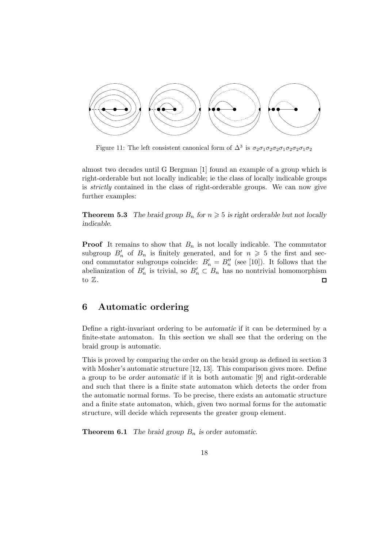

Figure 11: The left consistent canonical form of  $\Delta^3$  is  $\sigma_2\sigma_1\sigma_2\sigma_2\sigma_1\sigma_2\sigma_2\sigma_1\sigma_2$ 

almost two decades until G Bergman [1] found an example of a group which is right-orderable but not locally indicable; ie the class of locally indicable groups is strictly contained in the class of right-orderable groups. We can now give further examples:

**Theorem 5.3** *The braid group*  $B_n$  *for*  $n \geq 5$  *is right orderable but not locally indicable.*

**Proof** It remains to show that  $B_n$  is not locally indicable. The commutator subgroup  $B'_n$  of  $B_n$  is finitely generated, and for  $n \geq 5$  the first and second commutator subgroups coincide:  $B'_n = B''_n$  (see [10]). It follows that the abelianization of  $B'_n$  is trivial, so  $B'_n \subset B_n$  has no nontrivial homomorphism to  $\mathbb Z$ .  $\Box$ 

## **6 Automatic ordering**

Define a right-invariant ordering to be *automatic* if it can be determined by a finite-state automaton. In this section we shall see that the ordering on the braid group is automatic.

This is proved by comparing the order on the braid group as defined in section 3 with Mosher's automatic structure [12, 13]. This comparison gives more. Define a group to be *order automatic* if it is both automatic [9] and right-orderable and such that there is a finite state automaton which detects the order from the automatic normal forms. To be precise, there exists an automatic structure and a finite state automaton, which, given two normal forms for the automatic structure, will decide which represents the greater group element.

**Theorem 6.1** *The braid group*  $B_n$  *is order automatic.*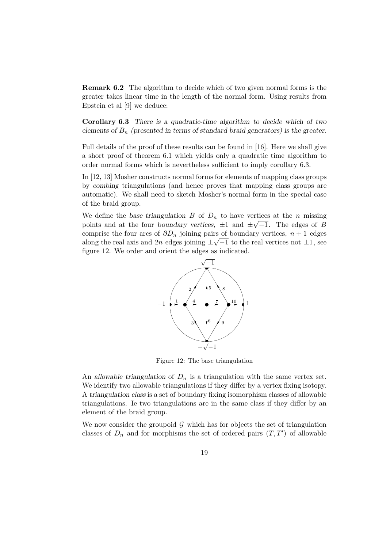**Remark 6.2** The algorithm to decide which of two given normal forms is the greater takes linear time in the length of the normal form. Using results from Epstein et al [9] we deduce:

**Corollary 6.3** *There is a quadratic-time algorithm to decide which of two elements of* B<sup>n</sup> *(presented in terms of standard braid generators) is the greater.*

Full details of the proof of these results can be found in [16]. Here we shall give a short proof of theorem 6.1 which yields only a quadratic time algorithm to order normal forms which is nevertheless sufficient to imply corollary 6.3.

In [12, 13] Mosher constructs normal forms for elements of mapping class groups by *combing* triangulations (and hence proves that mapping class groups are automatic). We shall need to sketch Mosher's normal form in the special case of the braid group.

We define the *base triangulation*  $B$  of  $D_n$  to have vertices at the *n* missing we define the *base triangulation D* of  $D_n$  to have vertices at the *n* inissing points and at the four *boundary vertices*,  $\pm 1$  and  $\pm \sqrt{-1}$ . The edges of *B* comprise the four arcs of  $\partial D_n$  joining pairs of boundary vertices,  $n + 1$  edges comprise the four arcs of  $\partial D_n$  joining pairs of boundary vertices,  $n + 1$  edges along the real axis and 2n edges joining  $\pm \sqrt{-1}$  to the real vertices not  $\pm 1$ , see figure 12. We order and orient the edges as indicated.



Figure 12: The base triangulation

An *allowable triangulation* of  $D_n$  is a triangulation with the same vertex set. We identify two allowable triangulations if they differ by a vertex fixing isotopy. A *triangulation class* is a set of boundary fixing isomorphism classes of allowable triangulations. Ie two triangulations are in the same class if they differ by an element of the braid group.

We now consider the groupoid  $\mathcal G$  which has for objects the set of triangulation classes of  $D_n$  and for morphisms the set of ordered pairs  $(T, T')$  of allowable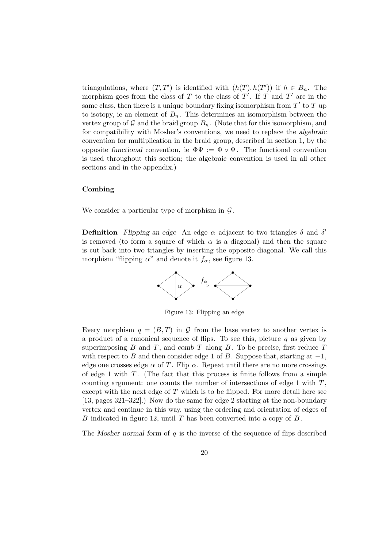triangulations, where  $(T, T')$  is identified with  $(h(T), h(T'))$  if  $h \in B_n$ . The morphism goes from the class of T to the class of T'. If T and T' are in the same class, then there is a unique boundary fixing isomorphism from  $T'$  to  $T$  up to isotopy, ie an element of  $B_n$ . This determines an isomorphism between the vertex group of  $G$  and the braid group  $B_n$ . (Note that for this isomorphism, and for compatibility with Mosher's conventions, we need to replace the *algebraic* convention for multiplication in the braid group, described in section 1, by the opposite *functional* convention, ie  $\Phi \Psi := \Phi \circ \Psi$ . The functional convention is used throughout this section; the algebraic convention is used in all other sections and in the appendix.)

### **Combing**

We consider a particular type of morphism in  $\mathcal{G}$ .

**Definition** *Flipping an edge* An edge  $\alpha$  adjacent to two triangles  $\delta$  and  $\delta'$ is removed (to form a square of which  $\alpha$  is a diagonal) and then the square is cut back into two triangles by inserting the opposite diagonal. We call this morphism "flipping  $\alpha$ " and denote it  $f_{\alpha}$ , see figure 13.



Figure 13: Flipping an edge

Every morphism  $q = (B,T)$  in G from the base vertex to another vertex is a product of a canonical sequence of flips. To see this, picture  $q$  as given by superimposing  $B$  and  $T$ , and *comb*  $T$  along  $B$ . To be precise, first reduce  $T$ with respect to B and then consider edge 1 of B. Suppose that, starting at  $-1$ , edge one crosses edge  $\alpha$  of T. Flip  $\alpha$ . Repeat until there are no more crossings of edge 1 with  $T$ . (The fact that this process is finite follows from a simple counting argument: one counts the number of intersections of edge 1 with  $T$ , except with the next edge of  $T$  which is to be flipped. For more detail here see [13, pages 321–322].) Now do the same for edge 2 starting at the non-boundary vertex and continue in this way, using the ordering and orientation of edges of B indicated in figure 12, until T has been converted into a copy of  $B$ .

The *Mosher normal form* of q is the inverse of the sequence of flips described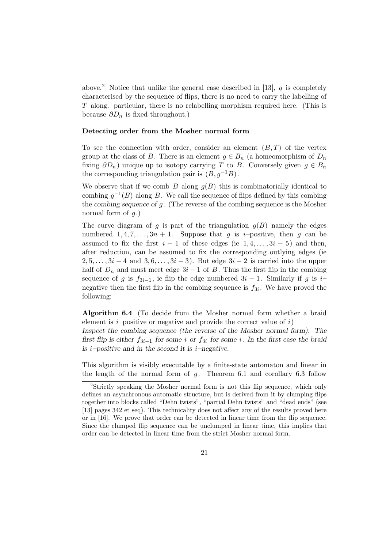above.<sup>2</sup> Notice that unlike the general case described in [13],  $q$  is completely characterised by the sequence of flips, there is no need to carry the labelling of T along. particular, there is no relabelling morphism required here. (This is because  $\partial D_n$  is fixed throughout.)

### **Detecting order from the Mosher normal form**

To see the connection with order, consider an element  $(B,T)$  of the vertex group at the class of B. There is an element  $g \in B_n$  (a homeomorphism of  $D_n$ fixing  $\partial D_n$ ) unique up to isotopy carrying T to B. Conversely given  $g \in B_n$ the corresponding triangulation pair is  $(B, g^{-1}B)$ .

We observe that if we comb  $B$  along  $g(B)$  this is combinatorially identical to combing  $g^{-1}(B)$  along B. We call the sequence of flips defined by this combing the *combing sequence of* g. (The reverse of the combing sequence is the Mosher normal form of  $q$ .)

The curve diagram of g is part of the triangulation  $g(B)$  namely the edges numbered  $1, 4, 7, \ldots, 3n + 1$ . Suppose that g is *i*-positive, then g can be assumed to fix the first  $i-1$  of these edges (ie  $1, 4, \ldots, 3i-5$ ) and then, after reduction, can be assumed to fix the corresponding outlying edges (ie  $2, 5, \ldots, 3i-4$  and  $3, 6, \ldots, 3i-3$ ). But edge  $3i-2$  is carried into the upper half of  $D_n$  and must meet edge  $3i - 1$  of B. Thus the first flip in the combing sequence of g is  $f_{3i-1}$ , ie flip the edge numbered  $3i-1$ . Similarly if g is i– negative then the first flip in the combing sequence is  $f_{3i}$ . We have proved the following:

**Algorithm 6.4** (To decide from the Mosher normal form whether a braid element is  $i$ -positive or negative and provide the correct value of  $i$ ) *Inspect the combing sequence (the reverse of the Mosher normal form). The first flip is either* f3i−<sup>1</sup> *for some* i *or* f3<sup>i</sup> *for some* i*. In the first case the braid is* i*–positive and in the second it is* i*–negative.*

This algorithm is visibly executable by a finite-state automaton and linear in the length of the normal form of  $q$ . Theorem 6.1 and corollary 6.3 follow

<sup>2</sup>Strictly speaking the Mosher normal form is not this flip sequence, which only defines an asynchronous automatic structure, but is derived from it by clumping flips together into blocks called "Dehn twists", "partial Dehn twists" and "dead ends" (see [13] pages 342 et seq). This technicality does not affect any of the results proved here or in [16]. We prove that order can be detected in linear time from the flip sequence. Since the clumped flip sequence can be unclumped in linear time, this implies that order can be detected in linear time from the strict Mosher normal form.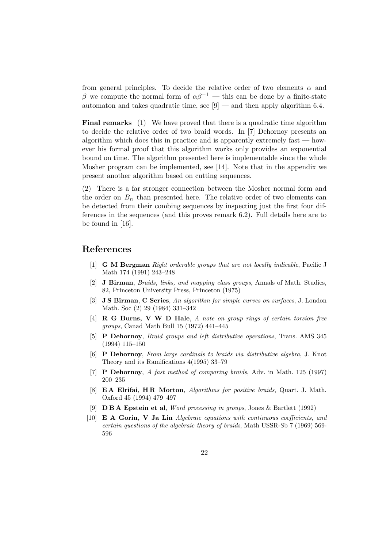from general principles. To decide the relative order of two elements  $\alpha$  and β we compute the normal form of  $\alpha\beta^{-1}$  — this can be done by a finite-state automaton and takes quadratic time, see  $[9]$  — and then apply algorithm 6.4.

**Final remarks** (1) We have proved that there is a quadratic time algorithm to decide the relative order of two braid words. In [7] Dehornoy presents an algorithm which does this in practice and is apparently extremely fast  $-$  however his formal proof that this algorithm works only provides an exponential bound on time. The algorithm presented here is implementable since the whole Mosher program can be implemented, see [14]. Note that in the appendix we present another algorithm based on cutting sequences.

(2) There is a far stronger connection between the Mosher normal form and the order on  $B_n$  than presented here. The relative order of two elements can be detected from their combing sequences by inspecting just the first four differences in the sequences (and this proves remark 6.2). Full details here are to be found in [16].

# **References**

- [1] **G M Bergman** Right orderable groups that are not locally indicable, Pacific J Math 174 (1991) 243–248
- [2] **J Birman**, Braids, links, and mapping class groups, Annals of Math. Studies, 82, Princeton University Press, Princeton (1975)
- [3] **J S Birman**, **C Series**, An algorithm for simple curves on surfaces, J. London Math. Soc (2) 29 (1984) 331–342
- [4] **R G Burns, V W D Hale**, A note on group rings of certain torsion free groups, Canad Math Bull 15 (1972) 441–445
- [5] **P Dehornoy**, Braid groups and left distributive operations, Trans. AMS 345 (1994) 115–150
- [6] **P Dehornoy**, From large cardinals to braids via distributive algebra, J. Knot Theory and its Ramifications 4(1995) 33–79
- [7] **P Dehornoy**, A fast method of comparing braids, Adv. in Math. 125 (1997) 200–235
- [8] **E A Elrifai**, **H R Morton**, Algorithms for positive braids, Quart. J. Math. Oxford 45 (1994) 479–497
- [9] **D B A Epstein et al**, Word processing in groups, Jones & Bartlett (1992)
- [10] **E A Gorin, V Ja Lin** Algebraic equations with continuous coefficients, and certain questions of the algebraic theory of braids, Math USSR-Sb 7 (1969) 569- 596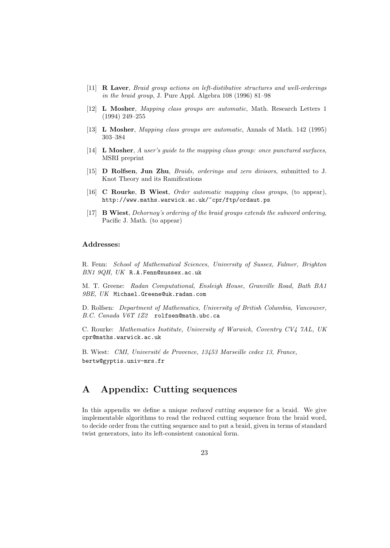- [11] **R Laver**, Braid group actions on left-distibutive structures and well-orderings in the braid group, J. Pure Appl. Algebra 108 (1996) 81–98
- [12] **L Mosher**, Mapping class groups are automatic, Math. Research Letters 1 (1994) 249–255
- [13] **L Mosher**, Mapping class groups are automatic, Annals of Math. 142 (1995) 303–384
- [14] **L Mosher**, A user's guide to the mapping class group: once punctured surfaces, MSRI preprint
- [15] **D Rolfsen**, **Jun Zhu**, Braids, orderings and zero divisors, submitted to J. Knot Theory and its Ramifications
- [16] **C Rourke**, **B Wiest**, Order automatic mapping class groups, (to appear), http://www.maths.warwick.ac.uk/~cpr/ftp/ordaut.ps
- [17] **B Wiest**, Dehornoy's ordering of the braid groups extends the subword ordering, Pacific J. Math. (to appear)

### **Addresses:**

R. Fenn: School of Mathematical Sciences, University of Sussex, Falmer, Brighton BN1 9QH, UK R.A.Fenn@sussex.ac.uk

M. T. Greene: Radan Computational, Ensleigh House, Granville Road, Bath BA1 9BE, UK Michael.Greene@uk.radan.com

D. Rolfsen: Department of Mathematics, University of British Columbia, Vancouver, B.C. Canada V6T 1Z2 rolfsen@math.ubc.ca

C. Rourke: Mathematics Institute, University of Warwick, Coventry CV4 7AL, UK cpr@maths.warwick.ac.uk

B. Wiest: CMI, Université de Provence, 13453 Marseille cedex 13, France, bertw@gyptis.univ-mrs.fr

# **A Appendix: Cutting sequences**

In this appendix we define a unique *reduced cutting sequence* for a braid. We give implementable algorithms to read the reduced cutting sequence from the braid word, to decide order from the cutting sequence and to put a braid, given in terms of standard twist generators, into its left-consistent canonical form.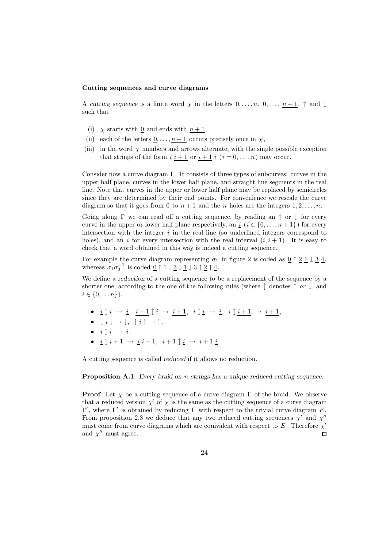#### **Cutting sequences and curve diagrams**

A *cutting sequence* is a finite word  $\chi$  in the letters  $0, \ldots, n, \underline{0}, \ldots, n+1$ ,  $\uparrow$  and  $\downarrow$ such that

- (i)  $\chi$  starts with <u>0</u> and ends with  $n+1$ ,
- (ii) each of the letters  $\underline{0}, \ldots, n+1$  occurs precisely once in  $\chi$ ,
- (iii) in the word  $\chi$  numbers and arrows alternate, with the single possible exception that strings of the form  $\underline{i}$   $\underline{i+1}$  or  $\underline{i+1}$   $\underline{i}$   $(i = 0, \ldots, n)$  may occur.

Consider now a curve diagram Γ. It consists of three types of subcurves: curves in the upper half plane, curves in the lower half plane, and straight line segments in the real line. Note that curves in the upper or lower half plane may be replaced by semicircles since they are determined by their end points. For convenience we rescale the curve diagram so that it goes from 0 to  $n+1$  and the n holes are the integers  $1, 2, \ldots, n$ .

Going along  $\Gamma$  we can read off a cutting sequence, by reading an  $\uparrow$  or  $\downarrow$  for every curve in the upper or lower half plane respectively, an  $i$  ( $i \in \{0, \ldots, n+1\}$ ) for every intersection with the integer  $i$  in the real line (so underlined integers correspond to holes), and an i for every intersection with the real interval  $(i, i + 1)$ . It is easy to check that a word obtained in this way is indeed a cutting sequence.

For example the curve diagram representing  $\sigma_1$  in figure 2 is coded as  $\underline{0} \uparrow \underline{2} \underline{1} \downarrow \underline{3} \underline{4}$ , whereas  $\sigma_1 \sigma_2^{-1}$  is coded  $\underline{0} \uparrow 1 \downarrow \underline{3} \downarrow \underline{1} \downarrow 3 \uparrow \underline{2} \uparrow \underline{4}$ .

We define a *reduction* of a cutting sequence to be a replacement of the sequence by a shorter one, according to the one of the following rules (where  $\uparrow$  denotes  $\uparrow$  or  $\downarrow$ , and  $i \in \{0, \ldots n\}$ ).

- $\underline{i} \updownarrow i \rightarrow \underline{i}, \underline{i+1} \updownarrow i \rightarrow \underline{i+1}, \underline{i} \updownarrow \underline{i} \rightarrow \underline{i}, \underline{i} \updownarrow \underline{i+1} \rightarrow \underline{i+1},$
- $\downarrow i \downarrow \rightarrow \downarrow, \uparrow i \uparrow \rightarrow \uparrow,$
- $i \uparrow i \rightarrow i$ ,
- $\underline{i} \uparrow i + 1 \rightarrow \underline{i} \, i + 1, \ \underline{i} + 1 \uparrow \underline{i} \rightarrow i + 1 \underline{i}$

A cutting sequence is called *reduced* if it allows no reduction.

**Proposition A.1** *Every braid on* n *strings has a unique reduced cutting sequence.*

**Proof** Let  $\chi$  be a cutting sequence of a curve diagram  $\Gamma$  of the braid. We observe that a reduced version  $\chi'$  of  $\chi$  is the same as the cutting sequence of a curve diagram Γ', where Γ' is obtained by reducing Γ with respect to the trivial curve diagram E. From proposition 2.3 we deduce that any two reduced cutting sequences  $\chi'$  and  $\chi''$ must come from curve diagrams which are equivalent with respect to  $E$ . Therefore  $\chi'$ and  $\chi^{\prime\prime}$  must agree.  $\Box$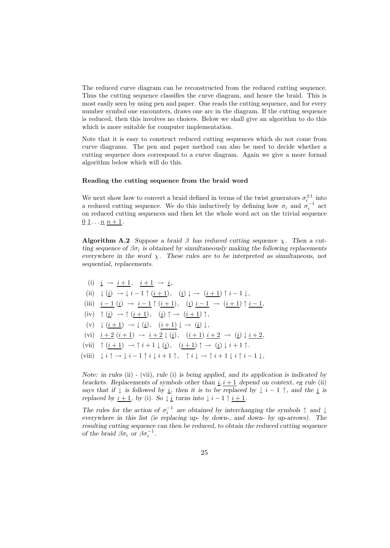The reduced curve diagram can be reconstructed from the reduced cutting sequence. Thus the cutting sequence classifies the curve diagram, and hence the braid. This is most easily seen by using pen and paper. One reads the cutting sequence, and for every number symbol one encounters, draws one arc in the diagram. If the cutting sequence is reduced, then this involves no choices. Below we shall give an algorithm to do this which is more suitable for computer implementation.

Note that it is easy to construct reduced cutting sequences which do not come from curve diagrams. The pen and paper method can also be used to decide whether a cutting sequence does correspond to a curve diagram. Again we give a more formal algorithm below which will do this.

#### **Reading the cutting sequence from the braid word**

We next show how to convert a braid defined in terms of the twist generators  $\sigma_i^{\pm 1}$  into a reduced cutting sequence. We do this inductively by defining how  $\sigma_i$  and  $\sigma_i^{-1}$  act on reduced cutting sequences and then let the whole word act on the trivial sequence  $\underline{0} \underline{1} \dots \underline{n} \underline{n} + 1.$ 

**Algorithm A.2** *Suppose a braid*  $\beta$  *has reduced cutting sequence*  $\chi$ *. Then a cutting sequence of*  $\beta \sigma_i$  *is obtained by simultaneously making the following replacements everywhere in the word* χ*. These rules are to be interpreted as simultaneous, not sequential, replacements.*

(i) 
$$
\underline{i} \rightarrow \underline{i+1}, \quad \underline{i+1} \rightarrow \underline{i},
$$
  
\n(ii)  $\downarrow (\underline{i}) \rightarrow \downarrow \underline{i-1} \uparrow (\underline{i+1}), \quad (\underline{i}) \downarrow \rightarrow (\underline{i+1}) \uparrow \underline{i-1} \downarrow,$   
\n(iii)  $\underline{i-1} (\underline{i}) \rightarrow \underline{i-1} \uparrow (\underline{i+1}), \quad (\underline{i}) \underline{i-1} \rightarrow (\underline{i+1}) \uparrow \underline{i-1},$   
\n(iv)  $\uparrow (\underline{i}) \rightarrow \uparrow (\underline{i+1}), \quad (\underline{i}) \uparrow \rightarrow (\underline{i+1}) \uparrow,$   
\n(v)  $\downarrow (\underline{i+1}) \rightarrow \downarrow (\underline{i}), \quad (\underline{i+1}) \downarrow \rightarrow (\underline{i}) \downarrow,$   
\n(vi)  $\underline{i+2} (\underline{i+1}) \rightarrow \underline{i+2} \downarrow (\underline{i}), \quad (\underline{i+1}) \underline{i+2} \rightarrow (\underline{i}) \downarrow \underline{i+2},$   
\n(vii)  $\uparrow (\underline{i+1}) \rightarrow \uparrow \underline{i+1} \downarrow (\underline{i}), \quad (\underline{i+1}) \uparrow \rightarrow (\underline{i}) \downarrow \underline{i+1} \uparrow.$   
\n(viii)  $\downarrow \underline{i} \uparrow \rightarrow \downarrow \underline{i-1} \uparrow \underline{i} \downarrow \underline{i+1} \uparrow, \quad \uparrow \underline{i} \downarrow \rightarrow \uparrow \underline{i+1} \downarrow \underline{i} \uparrow \underline{i-1} \downarrow,$ 

*Note: in rules* (ii) - (vii)*, rule* (i) *is being applied, and its application is indicated by brackets. Replacements of symbols other than*  $i, i + 1$  *depend on context, eg rule* (ii) *says that if*  $\downarrow$  *is followed by*  $\underline{i}$ *, then it is to be replaced by*  $\downarrow$  *i*  $-1$   $\uparrow$ *, and the*  $\underline{i}$  *is replaced by*  $i + 1$ *, by* (i)*.* So  $\downarrow$  *i turns into*  $\downarrow$  *i* - 1  $\uparrow$  *i* + 1*.* 

The rules for the action of  $\sigma_i^{-1}$  are obtained by interchanging the symbols  $\uparrow$  and  $\downarrow$ *everywhere in this list (ie replacing up- by down-, and down- by up-arrows). The resulting cutting sequence can then be reduced, to obtain the reduced cutting sequence of the braid*  $\beta \sigma_i$  *or*  $\beta \sigma_i^{-1}$ *.*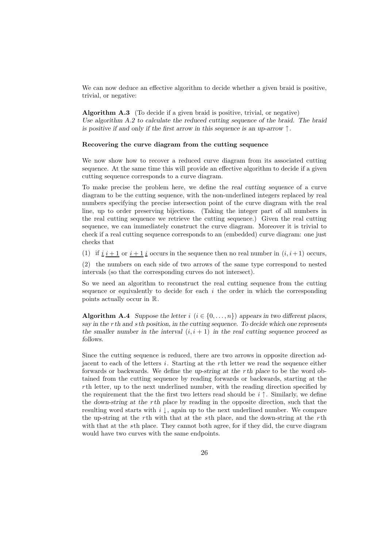We can now deduce an effective algorithm to decide whether a given braid is positive, trivial, or negative:

**Algorithm A.3** (To decide if a given braid is positive, trivial, or negative) *Use algorithm A.2 to calculate the reduced cutting sequence of the braid. The braid is positive if and only if the first arrow in this sequence is an up-arrow* ↑*.*

#### **Recovering the curve diagram from the cutting sequence**

We now show how to recover a reduced curve diagram from its associated cutting sequence. At the same time this will provide an effective algorithm to decide if a given cutting sequence corresponds to a curve diagram.

To make precise the problem here, we define the *real cutting sequence* of a curve diagram to be the cutting sequence, with the non-underlined integers replaced by real numbers specifying the precise intersection point of the curve diagram with the real line, up to order preserving bijections. (Taking the integer part of all numbers in the real cutting sequence we retrieve the cutting sequence.) Given the real cutting sequence, we can immediately construct the curve diagram. Moreover it is trivial to check if a real cutting sequence corresponds to an (embedded) curve diagram: one just checks that

(1) if  $i \ i + 1$  or  $i + 1 \ i$  occurs in the sequence then no real number in  $(i, i + 1)$  occurs,

(2) the numbers on each side of two arrows of the same type correspond to nested intervals (so that the corresponding curves do not intersect).

So we need an algorithm to reconstruct the real cutting sequence from the cutting sequence or equivalently to decide for each  $i$  the order in which the corresponding points actually occur in R.

**Algorithm A.4** *Suppose the letter*  $i$  ( $i \in \{0, \ldots, n\}$ ) *appears in two different places, say in the* r*th and* s*th position, in the cutting sequence. To decide which one represents the smaller number in the interval*  $(i, i + 1)$  *in the real cutting sequence proceed as follows.*

Since the cutting sequence is reduced, there are two arrows in opposite direction adjacent to each of the letters  $i$ . Starting at the rth letter we read the sequence either forwards or backwards. We define the *up-string at the* r*th place* to be the word obtained from the cutting sequence by reading forwards or backwards, starting at the rth letter, up to the next underlined number, with the reading direction specified by the requirement that the the first two letters read should be  $i \uparrow$ . Similarly, we define the *down-string at the* r*th place* by reading in the opposite direction, such that the resulting word starts with  $i \downarrow$ , again up to the next underlined number. We compare the up-string at the rth with that at the sth place, and the down-string at the rth with that at the sth place. They cannot both agree, for if they did, the curve diagram would have two curves with the same endpoints.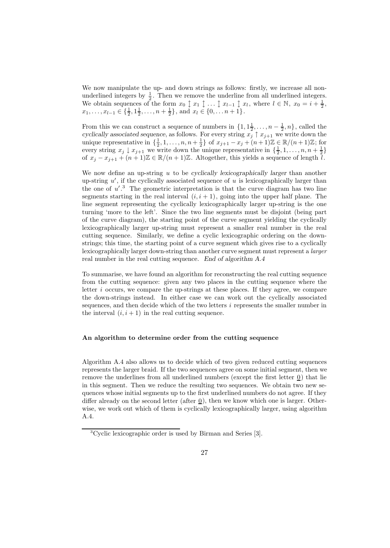We now manipulate the up- and down strings as follows: firstly, we increase all nonunderlined integers by  $\frac{1}{2}$ . Then we remove the underline from all underlined integers. We obtain sequences of the form  $x_0 \updownarrow x_1 \updownarrow ... \updownarrow x_{l-1} \updownarrow x_l$ , where  $l \in \mathbb{N}$ ,  $x_0 = i + \frac{1}{2}$ ,  $x_1, \ldots, x_{l-1} \in \{\frac{1}{2}, 1\frac{1}{2}, \ldots, n+\frac{1}{2}\}, \text{ and } x_l \in \{0, \ldots n+1\}.$ 

From this we can construct a sequence of numbers in  $\{1, 1\frac{1}{2}, \ldots, n-\frac{1}{2}, n\}$ , called the *cyclically associated sequence*, as follows. For every string  $x_j \uparrow x_{j+1}$  we write down the unique representative in  $\{\frac{1}{2}, 1, \ldots, n, n + \frac{1}{2}\}$  of  $x_{j+1} - x_j + (n+1)\mathbb{Z} \in \mathbb{R}/(n+1)\mathbb{Z}$ ; for every string  $x_j \downarrow x_{j+1}$  we write down the unique representative in  $\{\frac{1}{2}, 1, \ldots, n, n + \frac{1}{2}\}\$ of  $x_j - x_{j+1} + (n+1)\mathbb{Z} \in \mathbb{R}/(n+1)\mathbb{Z}$ . Altogether, this yields a sequence of length l.

We now define an up-string u to be *cyclically lexicographically larger* than another up-string  $u'$ , if the cyclically associated sequence of u is lexicographically larger than the one of  $u'$ .<sup>3</sup> The geometric interpretation is that the curve diagram has two line segments starting in the real interval  $(i, i + 1)$ , going into the upper half plane. The line segment representing the cyclically lexicographically larger up-string is the one turning 'more to the left'. Since the two line segments must be disjoint (being part of the curve diagram), the starting point of the curve segment yielding the cyclically lexicographically larger up-string must represent a smaller real number in the real cutting sequence. Similarly, we define a cyclic lexicographic ordering on the downstrings; this time, the starting point of a curve segment which gives rise to a cyclically lexicographically larger down-string than another curve segment must represent a larger real number in the real cutting sequence. *End of algorithm A.4*

To summarise, we have found an algorithm for reconstructing the real cutting sequence from the cutting sequence: given any two places in the cutting sequence where the letter i occurs, we compare the up-strings at these places. If they agree, we compare the down-strings instead. In either case we can work out the cyclically associated sequences, and then decide which of the two letters i represents the smaller number in the interval  $(i, i + 1)$  in the real cutting sequence.

### **An algorithm to determine order from the cutting sequence**

Algorithm A.4 also allows us to decide which of two given reduced cutting sequences represents the larger braid. If the two sequences agree on some initial segment, then we remove the underlines from all underlined numbers (except the first letter 0) that lie in this segment. Then we reduce the resulting two sequences. We obtain two new sequences whose initial segments up to the first underlined numbers do not agree. If they differ already on the second letter (after  $\Omega$ ), then we know which one is larger. Otherwise, we work out which of them is cyclically lexicographically larger, using algorithm A.4.

<sup>3</sup>Cyclic lexicographic order is used by Birman and Series [3].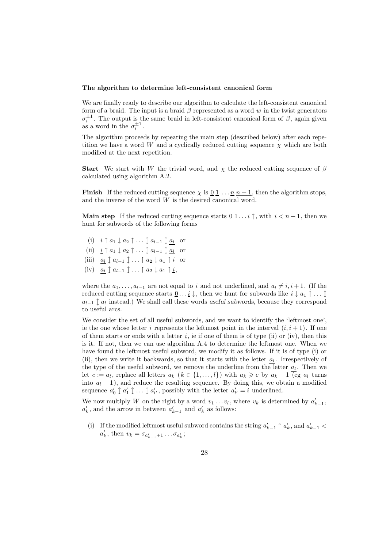#### **The algorithm to determine left-consistent canonical form**

We are finally ready to describe our algorithm to calculate the left-consistent canonical form of a braid. The input is a braid  $\beta$  represented as a word w in the twist generators  $\sigma_i^{\pm 1}$ . The output is the same braid in left-consistent canonical form of  $\beta$ , again given as a word in the  $\sigma_i^{\pm 1}$ .

The algorithm proceeds by repeating the main step (described below) after each repetition we have a word W and a cyclically reduced cutting sequence  $\chi$  which are both modified at the next repetition.

**Start** We start with W the trivial word, and  $\chi$  the reduced cutting sequence of  $\beta$ calculated using algorithm A.2.

**Finish** If the reduced cutting sequence  $\chi$  is  $\underline{0}$   $\underline{1}$  ...  $\underline{n}$   $n + 1$ , then the algorithm stops, and the inverse of the word  $W$  is the desired canonical word.

**Main step** If the reduced cutting sequence starts  $\underline{0}\underline{1}... \underline{i} \uparrow$ , with  $i < n + 1$ , then we hunt for subwords of the following forms

- (i)  $i \uparrow a_1 \downarrow a_2 \uparrow \ldots \uparrow a_{l-1} \uparrow a_l$  or
- (ii)  $\underline{i} \uparrow a_1 \downarrow a_2 \uparrow \ldots \updownarrow a_{l-1} \updownarrow a_l$  or
- (iii)  $a_l \uparrow a_{l-1} \uparrow \ldots \uparrow a_2 \downarrow a_1 \uparrow i$  or
- (iv)  $a_l \uparrow a_{l-1} \uparrow \ldots \uparrow a_2 \downarrow a_1 \uparrow \underline{i},$

where the  $a_1,\ldots,a_{l-1}$  are not equal to i and not underlined, and  $a_l \neq i, i + 1$ . (If the reduced cutting sequence starts  $\underline{0} \dots \underline{i} \downarrow$ , then we hunt for subwords like  $i \downarrow a_1 \uparrow \dots \uparrow$  $a_{l-1} \nightharpoonup a_l$  instead.) We shall call these words *useful subwords*, because they correspond to useful arcs.

We consider the set of all useful subwords, and we want to identify the 'leftmost one', ie the one whose letter i represents the leftmost point in the interval  $(i, i + 1)$ . If one of them starts or ends with a letter  $\underline{i}$ , ie if one of them is of type (ii) or (iv), then this is it. If not, then we can use algorithm A.4 to determine the leftmost one. When we have found the leftmost useful subword, we modify it as follows. If it is of type (i) or (ii), then we write it backwards, so that it starts with the letter  $a_l$ . Irrespectively of the type of the useful subword, we remove the underline from the letter  $a_l$ . Then we let  $c := a_l$ , replace all letters  $a_k$   $(k \in \{1, ..., l\})$  with  $a_k \geq c$  by  $a_k - 1$  (eg  $a_l$  turns into  $a_l - 1$ ), and reduce the resulting sequence. By doing this, we obtain a modified sequence  $a'_0 \uparrow a'_1 \uparrow \ldots \uparrow a'_{l'}$ , possibly with the letter  $a'_{l'} = i$  underlined.

We now multiply W on the right by a word  $v_1 \dots v_l$ , where  $v_k$  is determined by  $a'_{k-1}$ ,  $a'_k$ , and the arrow in between  $a'_{k-1}$  and  $a'_k$  as follows:

(i) If the modified leftmost useful subword contains the string  $a'_{k-1} \uparrow a'_{k}$ , and  $a'_{k-1} <$  $a'_k$ , then  $v_k = \sigma_{a'_{k-1}+1} \dots \sigma_{a'_k}$ ;